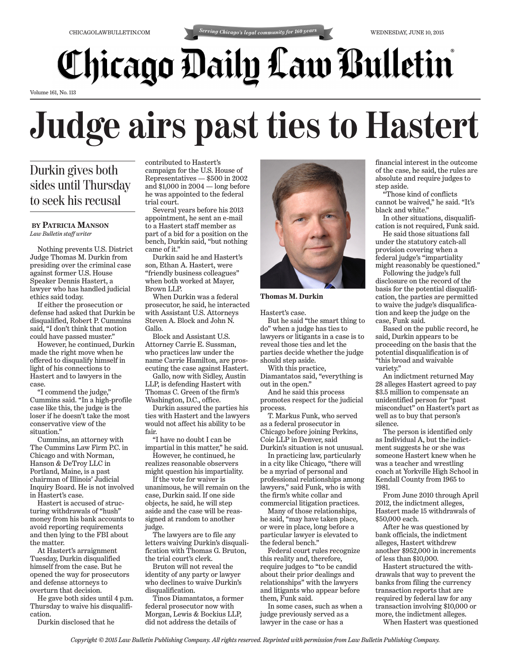## *Chicago Daily Law Bulletin*

Volume 161, No. 113

## **Judge airs past ties to Hastert**

## Durkin gives both sides until Thursday to seek his recusal

## **BY PATRICIA MANSON** *Law Bulletin staff writer*

Nothing prevents U.S. District Judge Thomas M. Durkin from presiding over the criminal case against former U.S. House Speaker Dennis Hastert, a lawyer who has handled judicial ethics said today.

If either the prosecution or defense had asked that Durkin be disqualified, Robert P. Cummins said, "I don't think that motion could have passed muster."

However, he continued, Durkin made the right move when he offered to disqualify himself in light of his connections to Hastert and to lawyers in the case.

"I commend the judge," Cummins said. "In a high-profile case like this, the judge is the loser if he doesn't take the most conservative view of the situation."

Cummins, an attorney with The Cummins Law Firm P.C. in Chicago and with Norman, Hanson & DeTroy LLC in Portland, Maine, is a past chairman of Illinois' Judicial Inquiry Board. He is not involved in Hastert's case.

Hastert is accused of structuring withdrawals of "hush" money from his bank accounts to avoid reporting requirements and then lying to the FBI about the matter.

At Hastert's arraignment Tuesday, Durkin disqualified himself from the case. But he opened the way for prosecutors and defense attorneys to overturn that decision.

He gave both sides until 4 p.m. Thursday to waive his disqualification.

Durkin disclosed that he

contributed to Hastert's campaign for the U.S. House of Representatives — \$500 in 2002 and \$1,000 in 2004 — long before he was appointed to the federal trial court.

Several years before his 2013 appointment, he sent an e-mail to a Hastert staff member as part of a bid for a position on the bench, Durkin said, "but nothing came of it."

Durkin said he and Hastert's son, Ethan A. Hastert, were "friendly business colleagues" when both worked at Mayer, Brown LLP.

When Durkin was a federal prosecutor, he said, he interacted with Assistant U.S. Attorneys Steven A. Block and John N. Gallo.

Block and Assistant U.S. Attorney Carrie E. Sussman, who practices law under the name Carrie Hamilton, are prosecuting the case against Hastert.

Gallo, now with Sidley, Austin LLP, is defending Hastert with Thomas C. Green of the firm's Washington, D.C., office.

Durkin assured the parties his ties with Hastert and the lawyers would not affect his ability to be fair.

"I have no doubt I can be impartial in this matter," he said. However, he continued, he

realizes reasonable observers might question his impartiality.

If the vote for waiver is unanimous, he will remain on the case, Durkin said. If one side objects, he said, he will step aside and the case will be reassigned at random to another judge.

The lawyers are to file any letters waiving Durkin's disqualification with Thomas G. Bruton, the trial court's clerk.

Bruton will not reveal the identity of any party or lawyer who declines to waive Durkin's disqualification.

Tinos Diamantatos, a former federal prosecutor now with Morgan, Lewis & Bockius LLP, did not address the details of



**Thomas M. Durkin**

Hastert's case.

But he said "the smart thing to do" when a judge has ties to lawyers or litigants in a case is to reveal those ties and let the parties decide whether the judge should step aside.

With this practice,

Diamantatos said, "everything is out in the open."

And he said this process promotes respect for the judicial process.

T. Markus Funk, who served as a federal prosecutor in Chicago before joining Perkins, Coie LLP in Denver, said Durkin's situation is not unusual.

In practicing law, particularly in a city like Chicago, "there will be a myriad of personal and professional relationships among lawyers," said Funk, who is with the firm's white collar and commercial litigation practices.

Many of those relationships, he said, "may have taken place, or were in place, long before a particular lawyer is elevated to the federal bench."

Federal court rules recognize this reality and, therefore, require judges to "to be candid about their prior dealings and relationships" with the lawyers and litigants who appear before them, Funk said.

In some cases, such as when a judge previously served as a lawyer in the case or has a

financial interest in the outcome of the case, he said, the rules are absolute and require judges to step aside.

"Those kind of conflicts cannot be waived," he said. "It's black and white."

In other situations, disqualification is not required, Funk said.

He said those situations fall under the statutory catch-all provision covering when a federal judge's "impartiality might reasonably be questioned."

Following the judge's full disclosure on the record of the basis for the potential disqualification, the parties are permitted to waive the judge's disqualification and keep the judge on the case, Funk said.

Based on the public record, he said, Durkin appears to be proceeding on the basis that the potential disqualification is of "this broad and waivable variety."

An indictment returned May 28 alleges Hastert agreed to pay \$3.5 million to compensate an unidentified person for "past misconduct" on Hastert's part as well as to buy that person's silence.

The person is identified only as Individual A, but the indictment suggests he or she was someone Hastert knew when he was a teacher and wrestling coach at Yorkville High School in Kendall County from 1965 to 1981.

From June 2010 through April 2012, the indictment alleges, Hastert made 15 withdrawals of \$50,000 each.

After he was questioned by bank officials, the indictment alleges, Hastert withdrew another \$952,000 in increments of less than \$10,000.

Hastert structured the withdrawals that way to prevent the banks from filing the currency transaction reports that are required by federal law for any transaction involving \$10,000 or more, the indictment alleges.

When Hastert was questioned